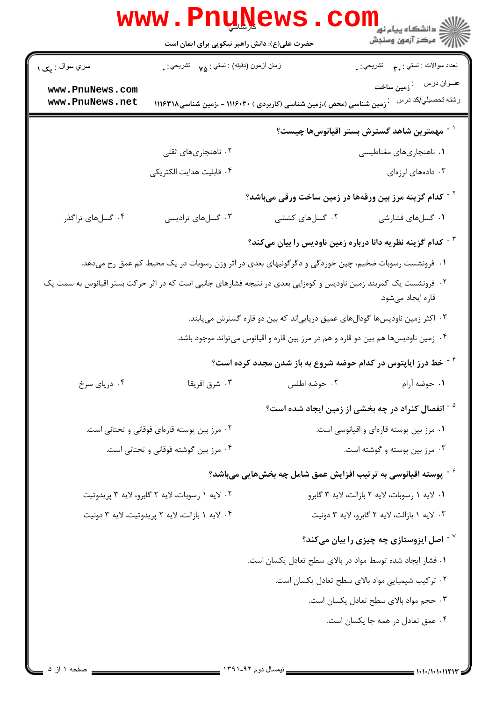|                                                 |                                                                                                                                       | WWW.Pnungews.com                                                                                   |                                                                        |  |
|-------------------------------------------------|---------------------------------------------------------------------------------------------------------------------------------------|----------------------------------------------------------------------------------------------------|------------------------------------------------------------------------|--|
| سري سوال : يک ۱                                 | زمان أزمون (دقيقه) : تستي : ٧۵ $\gamma$ تشريحي : .                                                                                    |                                                                                                    | نعداد سوالات : تستبي : ٩. سمب       تشريحي : .                         |  |
| www.PnuNews.com                                 |                                                                                                                                       |                                                                                                    | عنــوان درس       : <sub><b>زمین ساخت</b></sub>                        |  |
| www.PnuNews.net                                 |                                                                                                                                       | ِّ زمین شناسی (محض )،زمین شناسی (کاربردی ) ۱۱۱۶۰۳۰ - ،زمین شناسی۱۱۱۶۳۱۸                            | رشته تحصيلي/كد درس                                                     |  |
|                                                 |                                                                                                                                       |                                                                                                    | <sup>٬ -</sup> مهمترین شاهد گسترش بستر اقیانوسها چیست؟                 |  |
|                                                 | ۰۲ ناهنجاریهای ثقلی                                                                                                                   |                                                                                                    | ۰۱ ناهنجاریهای مغناطیسی                                                |  |
|                                                 | ۰۴ قابلیت هدایت الکتریکی                                                                                                              |                                                                                                    | ۰۳ دادههای لرزهای                                                      |  |
|                                                 |                                                                                                                                       | <sup>۲ -</sup> کدام گزینه مرز بین ورقهها در زمین ساخت ورقی میباشد؟                                 |                                                                        |  |
| ۰۴ گسلهای تراگذر                                | ۰۳ گسلهای ترادیسی                                                                                                                     | ۰۲ گسلهای کششی                                                                                     | ۰۱ گسلهای فشارشی                                                       |  |
|                                                 |                                                                                                                                       |                                                                                                    | <sup>۳ -</sup> کدام گزینه نظریه دانا درباره زمین ناودیس را بیان میکند؟ |  |
|                                                 |                                                                                                                                       | ۰۱ فرونشست رسوبات ضخیم، چین خوردگی و دگرگونیهای بعدی در اثر وزن رسوبات در یک محیط کم عمق رخ میدهد. |                                                                        |  |
|                                                 | ۰۲ فرونشست یک کمربند زمین ناودیس و کوهزایی بعدی در نتیجه فشارهای جانبی است که در اثر حرکت بستر اقیانوس به سمت یک<br>قاره ايجاد مىشود. |                                                                                                    |                                                                        |  |
|                                                 |                                                                                                                                       | ۰۳ اکثر زمین ناودیسها گودالهای عمیق دریاییاند که بین دو قاره گسترش مییابند.                        |                                                                        |  |
|                                                 |                                                                                                                                       | ۰۴ زمین ناودیسها هم بین دو قاره و هم در مرز بین قاره و اقیانوس میتواند موجود باشد.                 |                                                                        |  |
|                                                 |                                                                                                                                       | <sup>۲ -</sup> خط درز ایاپتوس در کدام حوضه شروع به باز شدن مجدد کرده است؟                          |                                                                        |  |
| ۰۴ دریای سرخ                                    | ۰۳ شرق افریقا                                                                                                                         | ۰۲ حوضه اطلس                                                                                       | <b>۱.</b> حوضه آ <sub>د</sub> ام                                       |  |
|                                                 |                                                                                                                                       |                                                                                                    | <sup>۵ -</sup> انفصال کنراد در چه بخشی از زمین ایجاد شده است؟          |  |
|                                                 | ۰۲ مرز بین پوسته قارهای فوقانی و تحتانی است.                                                                                          |                                                                                                    | ٠١ مرز بين پوسته قارهاي و اقيانوسي است.                                |  |
|                                                 | ۰۴ مرز بین گوشته فوقانی و تحتانی است.                                                                                                 |                                                                                                    | ۰۳ مرز بین پوسته و گوشته است.                                          |  |
|                                                 |                                                                                                                                       | د آپوسته اقیانوسی به ترتیب افزایش عمق شامل چه بخشهایی میباشد؟ $^\circ$                             |                                                                        |  |
|                                                 | ۰۲ لايه ۱ رسوبات، لايه ۲ گابرو، لايه ۳ پريدوتيت                                                                                       | ٠. لايه ١ رسوبات، لايه ٢ بازالت، لايه ٣ گابرو                                                      |                                                                        |  |
| ۰۴ لايه ۱ بازالت، لايه ۲ پريدوتيت، لايه ۳ دونيت |                                                                                                                                       | ۰۳ لايه ۱ بازالت، لايه ۲ گابرو، لايه ۳ دونيت                                                       |                                                                        |  |
|                                                 |                                                                                                                                       |                                                                                                    | $^{\circ}$ اصل ایزوستازی چه چیزی را بیان میکند $^{\circ}$              |  |
|                                                 |                                                                                                                                       | ٠١ فشار ايجاد شده توسط مواد در بالاي سطح تعادل يكسان است.                                          |                                                                        |  |
|                                                 |                                                                                                                                       |                                                                                                    | ٠٢ تركيب شيميايي مواد بالاي سطح تعادل يكسان است.                       |  |
|                                                 |                                                                                                                                       |                                                                                                    | ٠٣ حجم مواد بالاى سطح تعادل يكسان است.                                 |  |
|                                                 |                                                                                                                                       |                                                                                                    | ۰۴ عمق تعادل در همه جا یکسان است.                                      |  |
|                                                 |                                                                                                                                       |                                                                                                    |                                                                        |  |
| صفحه ۱ ان ۵                                     |                                                                                                                                       | $1791 - 95$ can lument                                                                             |                                                                        |  |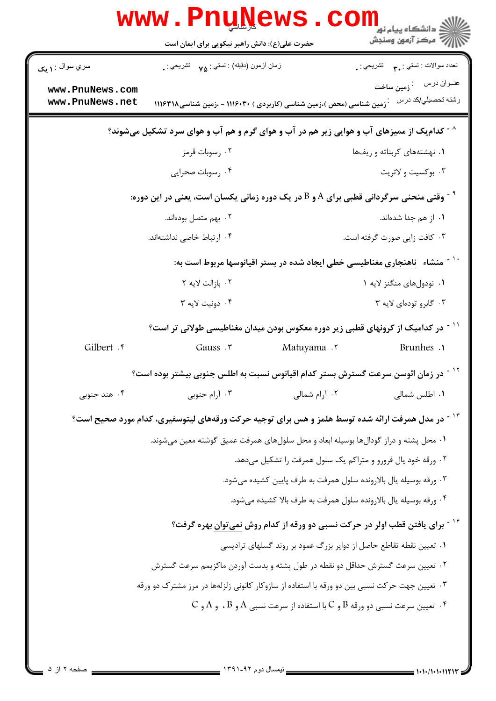| سري سوال : ۱ مک                    | زمان أزمون (دقيقه) : تستي : ٧۵ — تشريحي : .                                                                  |                                                                                                                                 | تعداد سوالات : تستبي : ٩. مسمد التشريحي : .                                                            |  |
|------------------------------------|--------------------------------------------------------------------------------------------------------------|---------------------------------------------------------------------------------------------------------------------------------|--------------------------------------------------------------------------------------------------------|--|
| www.PnuNews.com<br>www.PnuNews.net | <b>1119 تالین شناسی (محض)،زمین شناسی (کاربردی ) ۱۱۱۶۰۳۰ - ،زمین شناسی ۱۱۱۶۳۱۸</b>                            |                                                                                                                                 | عنــوان درس      : زمین ساخت<br>رشته تحصبل <i>ي </i> كد درس                                            |  |
|                                    | کدام یک از ممیزهای آب و هوایی زیر هم در آب و هوای گرم و هم آب و هوای سرد تشکیل میشوند؟ $\wedge$              |                                                                                                                                 |                                                                                                        |  |
|                                    | ۰۲ رسوبات قرمز                                                                                               |                                                                                                                                 | ۰۱ نهشتههای کربناته و ریفها                                                                            |  |
|                                    | ۰۴ رسوبات صحرایی                                                                                             |                                                                                                                                 | ۰۳ بوکسیت و لاتریت                                                                                     |  |
|                                    | رقتی منحنی سرگردانی قطبی برای A و B در یک دوره زمانی یکسان است، یعنی در این دوره: *                          |                                                                                                                                 |                                                                                                        |  |
|                                    | ۰۲ بهم متصل بودهاند.                                                                                         |                                                                                                                                 | ۰۱ از هم جدا شدهاند.                                                                                   |  |
|                                    | ۰۴ ارتباط خاصی نداشتهاند.                                                                                    |                                                                                                                                 | ۰۳ کافت زایی صورت گرفته است.                                                                           |  |
|                                    |                                                                                                              | `` ~ منشاء   ناهنجاری مغناطیسی خطی ایجاد شده در بستر اقیانوسها مربوط است به:                                                    |                                                                                                        |  |
|                                    | ٢. بازالت لايه ٢                                                                                             |                                                                                                                                 | ۰۱ نودولهای منگنز لایه ۱                                                                               |  |
|                                    | ۰۴ دونیت لایه ۳                                                                                              |                                                                                                                                 | ۰۳ گابرو تودهای لایه ۳                                                                                 |  |
|                                    | <sup>۱۱ -</sup> در کدامیک از کرونهای قطبی زیر دوره معکوس بودن میدان مغناطیسی طولانی تر است؟                  |                                                                                                                                 |                                                                                                        |  |
| Gilbert . r                        | Gauss .r                                                                                                     | Matuyama .r                                                                                                                     | Brunhes .                                                                                              |  |
|                                    | در زمان ائوسن سرعت گسترش بستر کدام اقیانوس نسبت به اطلس جنوبی بیشتر بوده است؟                                |                                                                                                                                 |                                                                                                        |  |
| ۰۴ هند جنوبي                       | ۰۳ آرام جنوبی                                                                                                | ۰۲ آرام شمالی                                                                                                                   | ۰۱ اطلس شمالی                                                                                          |  |
|                                    | <sup>۱۳ -</sup> در مدل همرفت ارائه شده توسط هلمز و هس برای توجیه حرکت ورقههای لیتوسفیری، کدام مورد صحیح است؟ |                                                                                                                                 |                                                                                                        |  |
|                                    | ۰۱ محل پشته و دراز گودالها بوسیله ابعاد و محل سلولهای همرفت عمیق گوشته معین میشوند.                          |                                                                                                                                 |                                                                                                        |  |
|                                    |                                                                                                              | ۲. ورقه خود یال فرورو و متراکم یک سلول همرفت را تشکیل میدهد.                                                                    |                                                                                                        |  |
|                                    |                                                                                                              | ۰۳ ورقه بوسیله یال بالارونده سلول همرفت به طرف پایین کشیده میشود.                                                               |                                                                                                        |  |
|                                    |                                                                                                              | ۰۴ ورقه بوسیله یال بالارونده سلول همرفت به طرف بالا کشیده میشود.                                                                |                                                                                                        |  |
|                                    |                                                                                                              |                                                                                                                                 | <sup>۱۴ -</sup> برای یافتن قطب اولر در حرکت نسبی دو ورقه از کدام روش <u>نمی <i>ت</i>وان</u> بهره گرفت؟ |  |
|                                    |                                                                                                              | ۰۱ تعیین نقطه تقاطع حاصل از دوایر بزرگ عمود بر روند گسلهای ترادیسی                                                              |                                                                                                        |  |
|                                    | ۲ . تعیین سرعت گسترش حداقل دو نقطه در طول پشته و بدست آوردن ماکزیمم سرعت گسترش                               |                                                                                                                                 |                                                                                                        |  |
|                                    | ۰۳ تعیین جهت حرکت نسبی بین دو ورقه با استفاده از سازوکار کانونی زلزلهها در مرز مشترک دو ورقه                 |                                                                                                                                 |                                                                                                        |  |
|                                    |                                                                                                              | $\mathsf C$ . تعیین سرعت نسبی دو ورقه $\mathsf B$ و $\mathsf C$ با استفاده از سرعت نسبی $\mathsf A$ و $\mathsf A$ و $\mathsf A$ |                                                                                                        |  |
|                                    |                                                                                                              |                                                                                                                                 |                                                                                                        |  |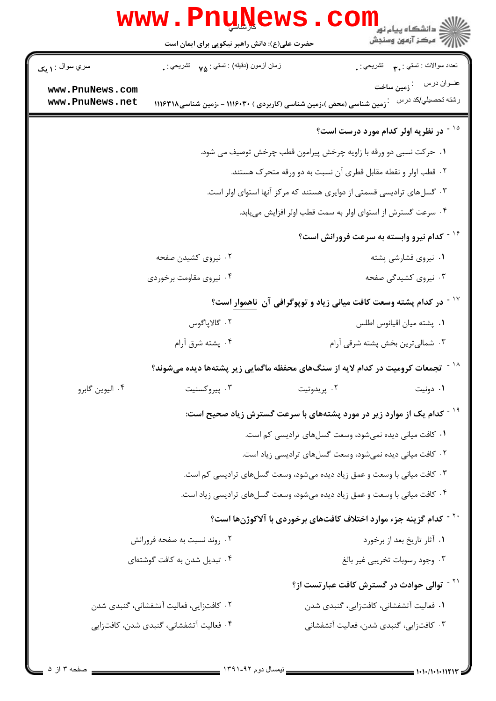|                 | www.PnuNews.                                                                         |             | الله دانشگاه پیام نور<br>الله مرکز آزمون وسنجش<br>الله مرکز آزمون وسنجش           |
|-----------------|--------------------------------------------------------------------------------------|-------------|-----------------------------------------------------------------------------------|
|                 | حضرت علی(ع): دانش راهبر نیکویی برای ایمان است                                        |             |                                                                                   |
| سري سوال : ۱ يک | زمان أزمون (دقيقه) : تستي : مي         تشريحي : .                                    |             | تعداد سوالات : تستبي : پم       تشريحي : .                                        |
| www.PnuNews.com |                                                                                      |             |                                                                                   |
| www.PnuNews.net | <sup>:</sup> زمین شناسی (محض )،زمین شناسی (کاربردی ) ۱۱۱۶۰۳۰ - ،زمین شناسی۱۱۱۶۳۱۸    |             | رشته تحصيلي/كد درس                                                                |
|                 |                                                                                      |             | <sup>۱۵ -</sup> در نظریه اولر کدام مورد درست است؟                                 |
|                 |                                                                                      |             | ۰۱ حرکت نسبی دو ورقه با زاویه چرخش پیرامون قطب چرخش توصیف می شود.                 |
|                 |                                                                                      |             | ۲. قطب اولر و نقطه مقابل قطری آن نسبت به دو ورقه متحرک هستند.                     |
|                 | ۰۳ گسلهای ترادیسی قسمتی از دوایری هستند که مرکز آنها استوای اولر است.                |             |                                                                                   |
|                 | ۰۴ سرعت گسترش از استوای اولر به سمت قطب اولر افزایش مییابد.                          |             |                                                                                   |
|                 |                                                                                      |             | <sup>۱۶ -</sup> کدام نیرو وابسته به سرعت فرورانش است؟                             |
|                 | ۰۲ نیروی کشیدن صفحه                                                                  |             | ۰۱ نیروی فشارشی پشته                                                              |
|                 | ۰۴ نیروی مقاومت برخوردی                                                              |             | ۰۳ نیروی کشیدگی صفحه                                                              |
|                 | <sup>۱۷ -</sup> در کدام پشته وسعت کافت میانی زیاد و توپوگرافی آن <u>ناهموار</u> است؟ |             |                                                                                   |
|                 | ۰۲ گالاپاگوس                                                                         |             | ٠١ پشته ميان اقيانوس اطلس                                                         |
|                 | ۰۴ پشته شرق آرام                                                                     |             | ۰۳ شمالیترین بخش پشته شرقی آرام                                                   |
|                 | تجمعات کرومیت در کدام لایه از سنگ0ای محفظه ماگمایی زیر پشتهها دیده میشوند؟           |             |                                                                                   |
| ۰۴ اليوين گابرو | ۰۳ پیروکسنیت                                                                         | ۰۲ پريدوتيت | ۰۱ دونیت                                                                          |
|                 |                                                                                      |             | <sup>۱۹ -</sup> کدام یک از موارد زیر در مورد پشتههای با سرعت گسترش زیاد صحیح است: |
|                 |                                                                                      |             | ۰۱ کافت میانی دیده نمیشود، وسعت گسلهای ترادیسی کم است.                            |
|                 |                                                                                      |             | ۰۲ کافت میانی دیده نمیشود، وسعت گسلهای ترادیسی زیاد است.                          |
|                 |                                                                                      |             | ۰۳ کافت میانی با وسعت و عمق زیاد دیده میشود، وسعت گسلهای ترادیسی کم است.          |
|                 |                                                                                      |             | ۰۴ کافت میانی با وسعت و عمق زیاد دیده میشود، وسعت گسلهای ترادیسی زیاد است.        |
|                 |                                                                                      |             | <sup>۲۰ -</sup> کدام گزینه جزء موارد اختلاف کافتهای برخوردی با آلاکوژنها است؟     |
|                 | ۰۲ روند نسبت به صفحه فرورانش                                                         |             | ٠١. آثار تاريخ بعد از برخورد                                                      |
|                 | ۰۴ تبدیل شدن به کافت گوشتهای                                                         |             | ٠٣ وجود رسوبات تخريبي غير بالغ                                                    |
|                 |                                                                                      |             | <sup>۲۱ -</sup> توالی حوادث در گسترش کافت عبارتست از؟                             |
|                 | ۲. كافتزايي، فعاليت آتشفشاني، گنبدي شدن                                              |             | ٠١. فعاليت آتشفشاني، كافتزايي، گنبدى شدن                                          |
|                 | ۰۴ فعالیت آتشفشانی، گنبدی شدن، کافتزایی                                              |             | ۰۳ کافتزایی، گنبدی شدن، فعالیت آتشفشانی                                           |
|                 |                                                                                      |             |                                                                                   |

Ē.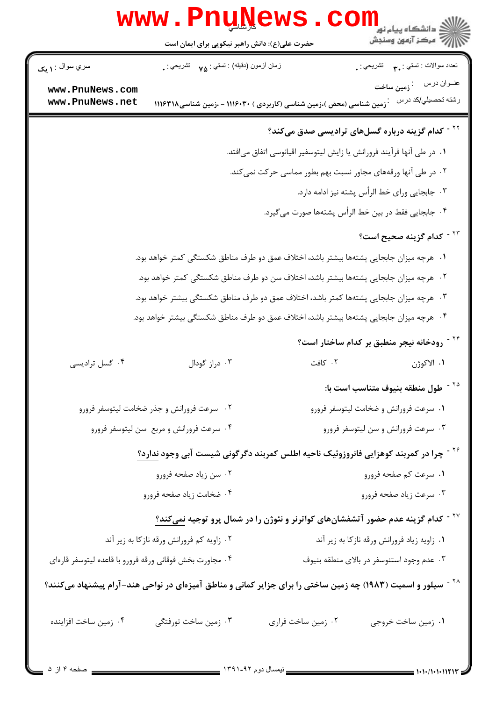|                                                                                                                          | <b>www.PnuNews</b><br>حضرت علی(ع): دانش راهبر نیکویی برای ایمان است                       |                                                                       | ڪ دانشڪاه پيام نور<br><mark>√</mark> مرڪز آزمون وسنڊش                                                  |
|--------------------------------------------------------------------------------------------------------------------------|-------------------------------------------------------------------------------------------|-----------------------------------------------------------------------|--------------------------------------------------------------------------------------------------------|
| سري سوال : <b>۱ يک</b>                                                                                                   | زمان أزمون (دقيقه) : تستي : <sub>٧۵</sub> تشريحي : .                                      |                                                                       | نعداد سوالات : نستني : ٣ <sub>٠</sub> ٠ نشريحي : <sub>٠</sub>                                          |
| www.PnuNews.com<br>www.PnuNews.net                                                                                       |                                                                                           | زمین شناسی (محض )،زمین شناسی (کاربردی ) ۱۱۱۶۰۳۰ - ،زمین شناسی ۱۱۱۶۳۱۸ | عنــوان درس       : <sub><b>زمین ساخت</b></sub><br>رشته تحصيل <i>ي </i> كد درس                         |
|                                                                                                                          |                                                                                           |                                                                       | <sup>۲۲ -</sup> کدام گزینه درباره گسلهای ترادیسی صدق میکند؟                                            |
|                                                                                                                          |                                                                                           | ۰۱ در طی آنها فرآیند فرورانش یا زایش لیتوسفیر اقیانوسی اتفاق میافتد.  |                                                                                                        |
|                                                                                                                          | ۰۲ در طی آنها ورقههای مجاور نسبت بهم بطور مماسی حرکت نمیکند.                              |                                                                       |                                                                                                        |
|                                                                                                                          | ۰۳ جابجایی ورای خط الرأس پشته نیز ادامه دارد.                                             |                                                                       |                                                                                                        |
|                                                                                                                          | ۰۴ جابجایی فقط در بین خط الرأس پشتهها صورت می گیرد.                                       |                                                                       |                                                                                                        |
|                                                                                                                          |                                                                                           |                                                                       | <sup>۲۳ -</sup> کدام گزینه صحیح است؟                                                                   |
|                                                                                                                          | ۰۱   هرچه میزان جابجایی پشتهها بیشتر باشد، اختلاف عمق دو طرف مناطق شکستگی کمتر خواهد بود. |                                                                       |                                                                                                        |
|                                                                                                                          | ۰۲ هرچه میزان جابجایی پشتهها بیشتر باشد، اختلاف سن دو طرف مناطق شکستگی کمتر خواهد بود.    |                                                                       |                                                                                                        |
|                                                                                                                          | ۰۳ هرچه میزان جابجایی پشتهها کمتر باشد، اختلاف عمق دو طرف مناطق شکستگی بیشتر خواهد بود.   |                                                                       |                                                                                                        |
|                                                                                                                          | ۰۴ هرچه میزان جابجایی پشتهها بیشتر باشد، اختلاف عمق دو طرف مناطق شکستگی بیشتر خواهد بود.  |                                                                       |                                                                                                        |
|                                                                                                                          |                                                                                           |                                                                       | <sup>۲۴ -</sup> رودخانه نیجر منطبق بر کدام ساختار است؟                                                 |
| ۰۴ گسل ترادیسی                                                                                                           | ۰۳ دراز گودال                                                                             | ۰۲ کافت                                                               | ١. الاكوژن                                                                                             |
|                                                                                                                          |                                                                                           |                                                                       | <sup>۲۵ -</sup> طول منطقه بنيوف متناسب است با:                                                         |
|                                                                                                                          | ۰۲ سرعت فرورانش و جذر ضخامت لیتوسفر فرورو                                                 | ۰۱ سرعت فرورانش و ضخامت لیتوسفر فرورو                                 |                                                                                                        |
| ۰۴ سرعت فرورانش و مربع سن ليتوسفر فرورو                                                                                  |                                                                                           | ۰۳ سرعت فرورانش و سن لیتوسفر فرورو                                    |                                                                                                        |
|                                                                                                                          |                                                                                           |                                                                       | <sup>۲۶ -</sup> چرا در کمربند کوهزایی فانروزوئیک ناحیه اطلس کمربند دگرگونی شیست آبی وجود <u>ندارد؟</u> |
|                                                                                                                          | ۰۲ سن زياد صفحه فرورو                                                                     |                                                                       | ۰۱ سرعت کم صفحه فرورو                                                                                  |
|                                                                                                                          | ۰۴ ضخامت زياد صفحه فرورو                                                                  |                                                                       | ۰۳ سرعت زیاد صفحه فرورو                                                                                |
| <sup>۲۷ -</sup> کدام گزینه عدم حضور آتشفشانهای کواترنر و نئوژن را در شمال پرو توجیه <u>نمی <i>ک</i>ند؟</u>               |                                                                                           |                                                                       |                                                                                                        |
|                                                                                                                          | ۰۲ زاویه کم فرورانش ورقه نازکا به زیر آند                                                 |                                                                       | ۰۱ زاویه زیاد فرورانش ورقه نازکا به زیر آند                                                            |
| ۰۴ مجاورت بخش فوقاني ورقه فرورو با قاعده ليتوسفر قارهاي                                                                  |                                                                                           |                                                                       | ۰۳ عدم وجود استنوسفر در بالای منطقه بنیوف                                                              |
| <sup>۲۸ -</sup> سیلور و اسمیت (۱۹۸۳) چه زمین ساختی را برای جزایر کمانی و مناطق آمیزهای در نواحی هند-آرام پیشنهاد میکنند؟ |                                                                                           |                                                                       |                                                                                                        |
| ۰۴ زمین ساخت افزاینده                                                                                                    | ۰۳ زمین ساخت تورفتگی                                                                      | ۰۲ زمین ساخت فراری                                                    | ۰۱ زمین ساخت خروجی                                                                                     |